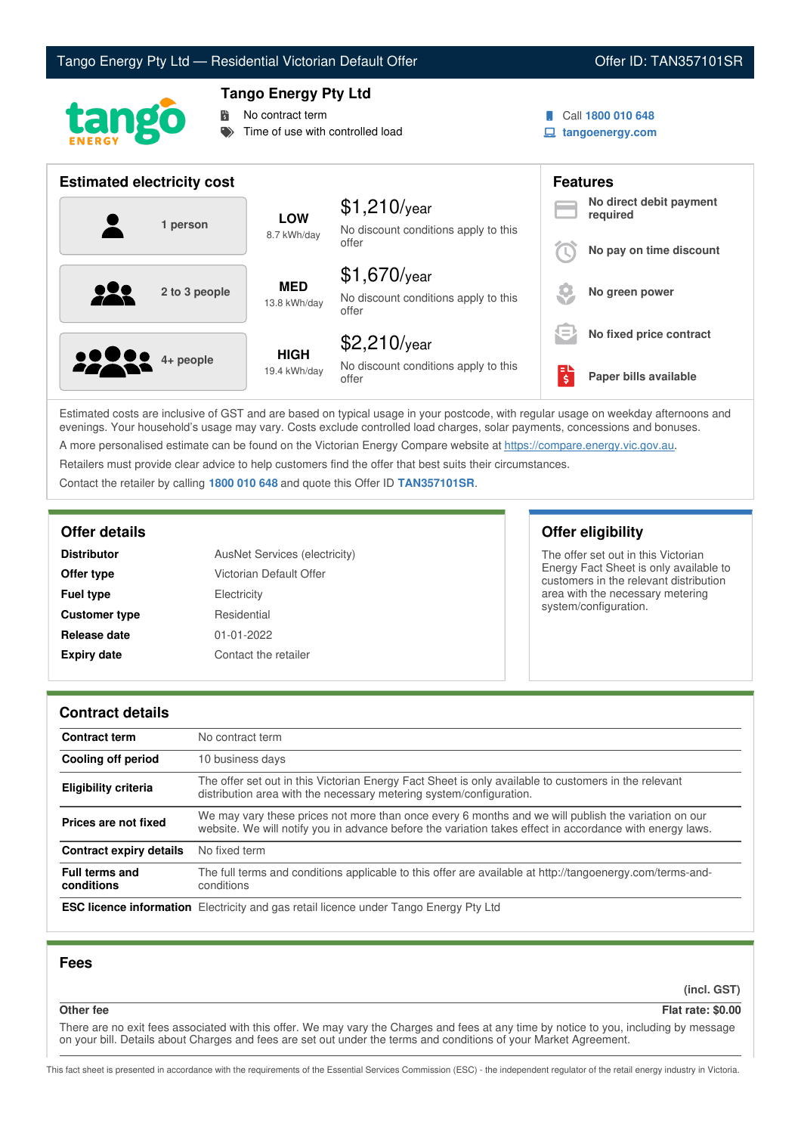# Tango Energy Pty Ltd — Residential Victorian Default Offer **Communist Communist Communist Communist Communist Communist Communist Communist Communist Communist Communist Communist Communist Communist Communist Communist Co**



## **Tango Energy Pty Ltd**

No contract term

Time of use with controlled load

- Call **1800 010 648**
- **tangoenergy.com**

| <b>Estimated electricity cost</b> |                             |                                                                 | <b>Features</b> |                                     |
|-----------------------------------|-----------------------------|-----------------------------------------------------------------|-----------------|-------------------------------------|
| 1 person                          | <b>LOW</b><br>8.7 kWh/day   | $$1,210$ /year<br>No discount conditions apply to this          |                 | No direct debit payment<br>required |
|                                   |                             | offer                                                           |                 | No pay on time discount             |
| <u>922</u><br>2 to 3 people       | <b>MED</b><br>13.8 kWh/day  | $$1,670$ /year<br>No discount conditions apply to this<br>offer |                 | No green power                      |
|                                   |                             | $$2,210$ /year                                                  | Ι=              | No fixed price contract             |
| <b>22 8 4+ people</b>             | <b>HIGH</b><br>19.4 kWh/day | No discount conditions apply to this<br>offer                   | ΕL<br>\$        | Paper bills available               |

Estimated costs are inclusive of GST and are based on typical usage in your postcode, with regular usage on weekday afternoons and evenings. Your household's usage may vary. Costs exclude controlled load charges, solar payments, concessions and bonuses. A more personalised estimate can be found on the Victorian Energy Compare website at <https://compare.energy.vic.gov.au>.

Retailers must provide clear advice to help customers find the offer that best suits their circumstances.

Contact the retailer by calling **1800 010 648** and quote this Offer ID **TAN357101SR**.

| <b>Distributor</b>   | AusNet Services (electricity) |
|----------------------|-------------------------------|
| Offer type           | Victorian Default Offer       |
| <b>Fuel type</b>     | Electricity                   |
| <b>Customer type</b> | Residential                   |
| Release date         | 01-01-2022                    |
| <b>Expiry date</b>   | Contact the retailer          |

## **Offer details Offer eligibility**

The offer set out in this Victorian Energy Fact Sheet is only available to customers in the relevant distribution area with the necessary metering system/configuration.

### **Contract details**

| <b>Contract term</b>                | No contract term                                                                                                                                                                                                |
|-------------------------------------|-----------------------------------------------------------------------------------------------------------------------------------------------------------------------------------------------------------------|
| Cooling off period                  | 10 business days                                                                                                                                                                                                |
| <b>Eligibility criteria</b>         | The offer set out in this Victorian Energy Fact Sheet is only available to customers in the relevant<br>distribution area with the necessary metering system/configuration.                                     |
| Prices are not fixed                | We may vary these prices not more than once every 6 months and we will publish the variation on our<br>website. We will notify you in advance before the variation takes effect in accordance with energy laws. |
| <b>Contract expiry details</b>      | No fixed term                                                                                                                                                                                                   |
| <b>Full terms and</b><br>conditions | The full terms and conditions applicable to this offer are available at http://tangoenergy.com/terms-and-<br>conditions                                                                                         |
|                                     | <b>ESC licence information</b> Electricity and gas retail licence under Tango Energy Pty Ltd                                                                                                                    |

## **Fees**

**(incl. GST)**

**Other fee Flat rate: \$0.00**

There are no exit fees associated with this offer. We may vary the Charges and fees at any time by notice to you, including by message on your bill. Details about Charges and fees are set out under the terms and conditions of your Market Agreement.

This fact sheet is presented in accordance with the requirements of the Essential Services Commission (ESC) - the independent regulator of the retail energy industry in Victoria.